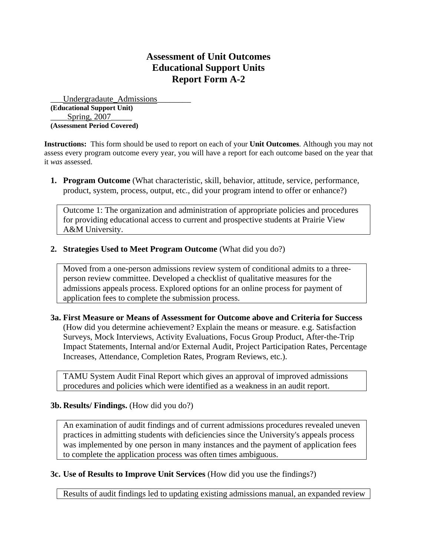## **Assessment of Unit Outcomes Educational Support Units Report Form A-2**

\_\_\_Undergradaute\_Admissions\_\_\_\_\_\_\_\_ **(Educational Support Unit)**  Spring, 2007 **(Assessment Period Covered)** 

**Instructions:** This form should be used to report on each of your **Unit Outcomes**. Although you may not assess every program outcome every year, you will have a report for each outcome based on the year that it *was* assessed.

**1. Program Outcome** (What characteristic, skill, behavior, attitude, service, performance, product, system, process, output, etc., did your program intend to offer or enhance?)

Outcome 1: The organization and administration of appropriate policies and procedures for providing educational access to current and prospective students at Prairie View A&M University.

**2. Strategies Used to Meet Program Outcome** (What did you do?)

Moved from a one-person admissions review system of conditional admits to a threeperson review committee. Developed a checklist of qualitative measures for the admissions appeals process. Explored options for an online process for payment of application fees to complete the submission process.

**3a. First Measure or Means of Assessment for Outcome above and Criteria for Success** (How did you determine achievement? Explain the means or measure. e.g. Satisfaction Surveys, Mock Interviews, Activity Evaluations, Focus Group Product, After-the-Trip Impact Statements, Internal and/or External Audit, Project Participation Rates, Percentage Increases, Attendance, Completion Rates, Program Reviews, etc.).

TAMU System Audit Final Report which gives an approval of improved admissions procedures and policies which were identified as a weakness in an audit report.

## **3b. Results/ Findings.** (How did you do?)

An examination of audit findings and of current admissions procedures revealed uneven practices in admitting students with deficiencies since the University's appeals process was implemented by one person in many instances and the payment of application fees to complete the application process was often times ambiguous.

## **3c. Use of Results to Improve Unit Services** (How did you use the findings?)

Results of audit findings led to updating existing admissions manual, an expanded review